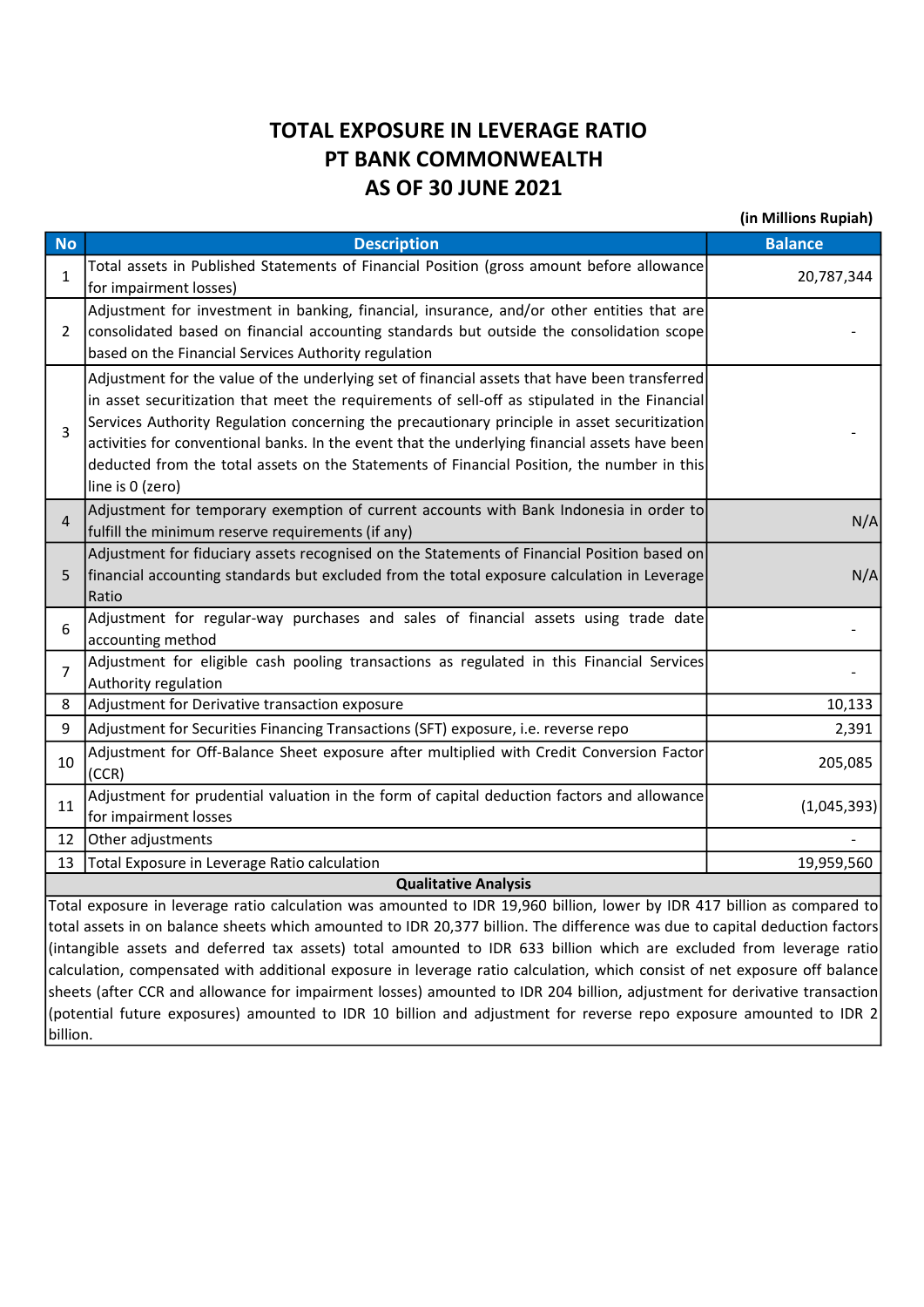## TOTAL EXPOSURE IN LEVERAGE RATIO PT BANK COMMONWEALTH AS OF 30 JUNE 2021

(in Millions Rupiah)

| <b>No</b>                                                                                                                   | <b>Description</b>                                                                                | <b>Balance</b> |  |  |  |  |
|-----------------------------------------------------------------------------------------------------------------------------|---------------------------------------------------------------------------------------------------|----------------|--|--|--|--|
| $\mathbf{1}$                                                                                                                | Total assets in Published Statements of Financial Position (gross amount before allowance         | 20,787,344     |  |  |  |  |
|                                                                                                                             | for impairment losses)                                                                            |                |  |  |  |  |
| 2                                                                                                                           | Adjustment for investment in banking, financial, insurance, and/or other entities that are        |                |  |  |  |  |
|                                                                                                                             | consolidated based on financial accounting standards but outside the consolidation scope          |                |  |  |  |  |
|                                                                                                                             | based on the Financial Services Authority regulation                                              |                |  |  |  |  |
| 3                                                                                                                           | Adjustment for the value of the underlying set of financial assets that have been transferred     |                |  |  |  |  |
|                                                                                                                             | in asset securitization that meet the requirements of sell-off as stipulated in the Financial     |                |  |  |  |  |
|                                                                                                                             | Services Authority Regulation concerning the precautionary principle in asset securitization      |                |  |  |  |  |
|                                                                                                                             | activities for conventional banks. In the event that the underlying financial assets have been    |                |  |  |  |  |
|                                                                                                                             | deducted from the total assets on the Statements of Financial Position, the number in this        |                |  |  |  |  |
|                                                                                                                             | line is 0 (zero)                                                                                  |                |  |  |  |  |
| $\overline{4}$                                                                                                              | Adjustment for temporary exemption of current accounts with Bank Indonesia in order to            | N/A            |  |  |  |  |
|                                                                                                                             | fulfill the minimum reserve requirements (if any)                                                 |                |  |  |  |  |
|                                                                                                                             | Adjustment for fiduciary assets recognised on the Statements of Financial Position based on       |                |  |  |  |  |
| 5                                                                                                                           | financial accounting standards but excluded from the total exposure calculation in Leverage       | N/A            |  |  |  |  |
|                                                                                                                             | Ratio                                                                                             |                |  |  |  |  |
| 6<br>$\overline{7}$                                                                                                         | Adjustment for regular-way purchases and sales of financial assets using trade date               |                |  |  |  |  |
|                                                                                                                             | accounting method                                                                                 |                |  |  |  |  |
|                                                                                                                             | Adjustment for eligible cash pooling transactions as regulated in this Financial Services         |                |  |  |  |  |
|                                                                                                                             | Authority regulation                                                                              |                |  |  |  |  |
| 8                                                                                                                           | Adjustment for Derivative transaction exposure                                                    | 10,133         |  |  |  |  |
| 9                                                                                                                           | Adjustment for Securities Financing Transactions (SFT) exposure, i.e. reverse repo                | 2,391          |  |  |  |  |
| 10                                                                                                                          | Adjustment for Off-Balance Sheet exposure after multiplied with Credit Conversion Factor<br>(CCR) | 205,085        |  |  |  |  |
|                                                                                                                             | Adjustment for prudential valuation in the form of capital deduction factors and allowance        |                |  |  |  |  |
| 11                                                                                                                          | for impairment losses                                                                             | (1,045,393)    |  |  |  |  |
| 12                                                                                                                          | Other adjustments                                                                                 |                |  |  |  |  |
| 13                                                                                                                          | Total Exposure in Leverage Ratio calculation                                                      | 19,959,560     |  |  |  |  |
| <b>Qualitative Analysis</b>                                                                                                 |                                                                                                   |                |  |  |  |  |
| Total exposure in leverage ratio calculation was amounted to IDR 19,960 billion, lower by IDR 417 billion as compared to    |                                                                                                   |                |  |  |  |  |
| total assets in on balance sheets which amounted to IDR 20,377 billion. The difference was due to capital deduction factors |                                                                                                   |                |  |  |  |  |
| (intangible accets and deferred tay assets) total amounted to IDR 633 billion which are excluded from leverage ratiol       |                                                                                                   |                |  |  |  |  |

(intangible assets and deferred tax assets) total amounted to IDR 633 billion which are excluded from leverage ratio calculation, compensated with additional exposure in leverage ratio calculation, which consist of net exposure off balance sheets (after CCR and allowance for impairment losses) amounted to IDR 204 billion, adjustment for derivative transaction (potential future exposures) amounted to IDR 10 billion and adjustment for reverse repo exposure amounted to IDR 2 billion.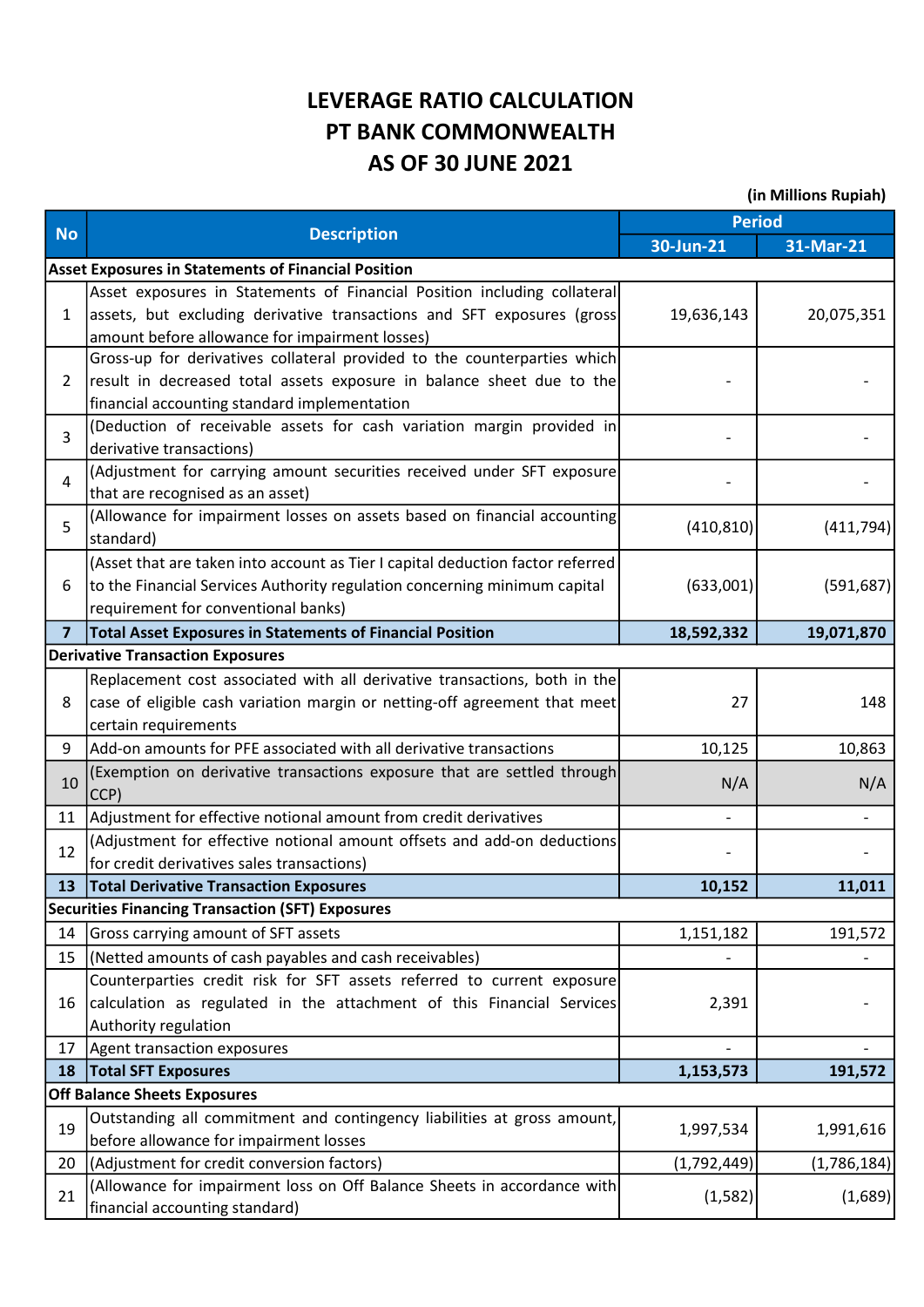## LEVERAGE RATIO CALCULATION PT BANK COMMONWEALTH AS OF 30 JUNE 2021

(in Millions Rupiah)

|                | <b>Description</b>                                                                                         | Period      |             |
|----------------|------------------------------------------------------------------------------------------------------------|-------------|-------------|
| <b>No</b>      |                                                                                                            | 30-Jun-21   | 31-Mar-21   |
|                | <b>Asset Exposures in Statements of Financial Position</b>                                                 |             |             |
| $\mathbf{1}$   | Asset exposures in Statements of Financial Position including collateral                                   |             |             |
|                | assets, but excluding derivative transactions and SFT exposures (gross                                     | 19,636,143  | 20,075,351  |
|                | amount before allowance for impairment losses)                                                             |             |             |
| 2              | Gross-up for derivatives collateral provided to the counterparties which                                   |             |             |
|                | result in decreased total assets exposure in balance sheet due to the                                      |             |             |
|                | financial accounting standard implementation                                                               |             |             |
| $\overline{3}$ | (Deduction of receivable assets for cash variation margin provided in                                      |             |             |
| 4              | derivative transactions)                                                                                   |             |             |
|                | (Adjustment for carrying amount securities received under SFT exposure<br>that are recognised as an asset) |             |             |
| 5              | (Allowance for impairment losses on assets based on financial accounting                                   |             |             |
|                | standard)                                                                                                  | (410, 810)  | (411, 794)  |
|                | (Asset that are taken into account as Tier I capital deduction factor referred                             |             |             |
| 6              | to the Financial Services Authority regulation concerning minimum capital                                  | (633,001)   | (591, 687)  |
|                | requirement for conventional banks)                                                                        |             |             |
| $\overline{7}$ | Total Asset Exposures in Statements of Financial Position                                                  | 18,592,332  | 19,071,870  |
|                | <b>Derivative Transaction Exposures</b>                                                                    |             |             |
|                | Replacement cost associated with all derivative transactions, both in the                                  |             |             |
| 8              | case of eligible cash variation margin or netting-off agreement that meet                                  | 27          | 148         |
|                | certain requirements                                                                                       |             |             |
| 9              | Add-on amounts for PFE associated with all derivative transactions                                         | 10,125      | 10,863      |
|                | (Exemption on derivative transactions exposure that are settled through                                    |             |             |
| 10             | CCP)                                                                                                       | N/A         | N/A         |
| 11             | Adjustment for effective notional amount from credit derivatives                                           |             |             |
| 12             | (Adjustment for effective notional amount offsets and add-on deductions                                    |             |             |
|                | for credit derivatives sales transactions)                                                                 |             |             |
| 13             | <b>Total Derivative Transaction Exposures</b>                                                              | 10,152      | 11,011      |
|                | <b>Securities Financing Transaction (SFT) Exposures</b>                                                    |             |             |
| 14             | Gross carrying amount of SFT assets                                                                        | 1,151,182   | 191,572     |
| 15             | (Netted amounts of cash payables and cash receivables)                                                     |             |             |
|                | Counterparties credit risk for SFT assets referred to current exposure                                     |             |             |
| 16             | calculation as regulated in the attachment of this Financial Services                                      | 2,391       |             |
|                | Authority regulation                                                                                       |             |             |
| 17             | Agent transaction exposures                                                                                |             |             |
| 18             | <b>Total SFT Exposures</b>                                                                                 | 1,153,573   | 191,572     |
|                | <b>Off Balance Sheets Exposures</b>                                                                        |             |             |
| 19             | Outstanding all commitment and contingency liabilities at gross amount,                                    | 1,997,534   | 1,991,616   |
|                | before allowance for impairment losses                                                                     |             |             |
| 20             | (Adjustment for credit conversion factors)                                                                 | (1,792,449) | (1,786,184) |
| 21             | (Allowance for impairment loss on Off Balance Sheets in accordance with                                    | (1, 582)    | (1,689)     |
|                | financial accounting standard)                                                                             |             |             |